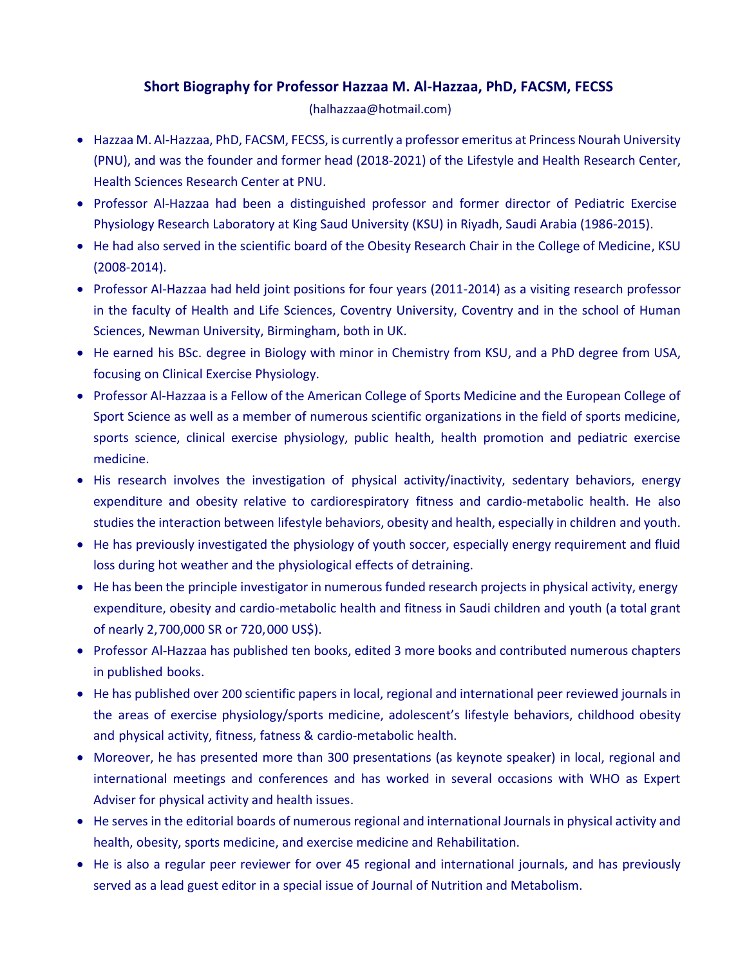## **Short Biography for Professor Hazzaa M. Al-Hazzaa, PhD, FACSM, FECSS**

(halhazzaa@hotmail.com)

- Hazzaa M. Al-Hazzaa, PhD, FACSM, FECSS, is currently a professor emeritus at Princess Nourah University (PNU), and was the founder and former head (2018-2021) of the Lifestyle and Health Research Center, Health Sciences Research Center at PNU.
- Professor Al-Hazzaa had been a distinguished professor and former director of Pediatric Exercise Physiology Research Laboratory at King Saud University (KSU) in Riyadh, Saudi Arabia (1986-2015).
- He had also served in the scientific board of the Obesity Research Chair in the College of Medicine, KSU (2008-2014).
- Professor Al-Hazzaa had held joint positions for four years (2011-2014) as a visiting research professor in the faculty of Health and Life Sciences, Coventry University, Coventry and in the school of Human Sciences, Newman University, Birmingham, both in UK.
- He earned his BSc. degree in Biology with minor in Chemistry from KSU, and a PhD degree from USA, focusing on Clinical Exercise Physiology.
- Professor Al-Hazzaa is a Fellow of the American College of Sports Medicine and the European College of Sport Science as well as a member of numerous scientific organizations in the field of sports medicine, sports science, clinical exercise physiology, public health, health promotion and pediatric exercise medicine.
- His research involves the investigation of physical activity/inactivity, sedentary behaviors, energy expenditure and obesity relative to cardiorespiratory fitness and cardio-metabolic health. He also studies the interaction between lifestyle behaviors, obesity and health, especially in children and youth.
- He has previously investigated the physiology of youth soccer, especially energy requirement and fluid loss during hot weather and the physiological effects of detraining.
- He has been the principle investigator in numerous funded research projects in physical activity, energy expenditure, obesity and cardio-metabolic health and fitness in Saudi children and youth (a total grant of nearly 2,700,000 SR or 720,000 US\$).
- Professor Al-Hazzaa has published ten books, edited 3 more books and contributed numerous chapters in published books.
- He has published over 200 scientific papers in local, regional and international peer reviewed journals in the areas of exercise physiology/sports medicine, adolescent's lifestyle behaviors, childhood obesity and physical activity, fitness, fatness & cardio-metabolic health.
- Moreover, he has presented more than 300 presentations (as keynote speaker) in local, regional and international meetings and conferences and has worked in several occasions with WHO as Expert Adviser for physical activity and health issues.
- He serves in the editorial boards of numerous regional and international Journals in physical activity and health, obesity, sports medicine, and exercise medicine and Rehabilitation.
- He is also a regular peer reviewer for over 45 regional and international journals, and has previously served as a lead guest editor in a special issue of Journal of Nutrition and Metabolism.